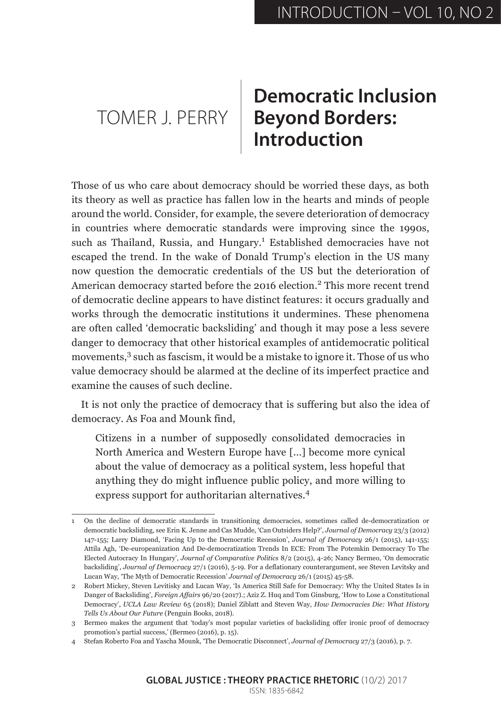## TOMER J. PERRY **Beyond Borders: Democratic Inclusion Introduction**

Those of us who care about democracy should be worried these days, as both its theory as well as practice has fallen low in the hearts and minds of people around the world. Consider, for example, the severe deterioration of democracy in countries where democratic standards were improving since the 1990s, such as Thailand, Russia, and Hungary.<sup>1</sup> Established democracies have not escaped the trend. In the wake of Donald Trump's election in the US many now question the democratic credentials of the US but the deterioration of American democracy started before the 2016 election.<sup>2</sup> This more recent trend of democratic decline appears to have distinct features: it occurs gradually and works through the democratic institutions it undermines. These phenomena are often called 'democratic backsliding' and though it may pose a less severe danger to democracy that other historical examples of antidemocratic political movements,<sup>3</sup> such as fascism, it would be a mistake to ignore it. Those of us who value democracy should be alarmed at the decline of its imperfect practice and examine the causes of such decline.

It is not only the practice of democracy that is suffering but also the idea of democracy. As Foa and Mounk find,

Citizens in a number of supposedly consolidated democracies in North America and Western Europe have [...] become more cynical about the value of democracy as a political system, less hopeful that anything they do might influence public policy, and more willing to express support for authoritarian alternatives.<sup>4</sup>

<sup>1</sup> On the decline of democratic standards in transitioning democracies, sometimes called de-democratization or democratic backsliding, see Erin K. Jenne and Cas Mudde, 'Can Outsiders Help?', *Journal of Democracy* 23/3 (2012) 147-155; Larry Diamond, 'Facing Up to the Democratic Recession', *Journal of Democracy* 26/1 (2015), 141-155; Attila Agh, 'De-europeanization And De-democratization Trends In ECE: From The Potemkin Democracy To The Elected Autocracy In Hungary', *Journal of Comparative Politics* 8/2 (2015), 4-26; Nancy Bermeo, 'On democratic backsliding', *Journal of Democracy* 27/1 (2016), 5-19. For a deflationary counterargument, see Steven Levitsky and Lucan Way, 'The Myth of Democratic Recession' *Journal of Democracy* 26/1 (2015) 45-58.

<sup>2</sup> Robert Mickey, Steven Levitisky and Lucan Way, 'Is America Still Safe for Democracy: Why the United States Is in Danger of Backsliding', *Foreign Affairs* 96/20 (2017).; Aziz Z. Huq and Tom Ginsburg, 'How to Lose a Constitutional Democracy', *UCLA Law Review* 65 (2018); Daniel Ziblatt and Steven Way, *How Democracies Die: What History Tells Us About Our Future* (Penguin Books, 2018).

<sup>3</sup> Bermeo makes the argument that 'today's most popular varieties of backsliding offer ironic proof of democracy promotion's partial success,' (Bermeo (2016), p. 15).

<sup>4</sup> Stefan Roberto Foa and Yascha Mounk, 'The Democratic Disconnect', *Journal of Democracy* 27/3 (2016), p. 7.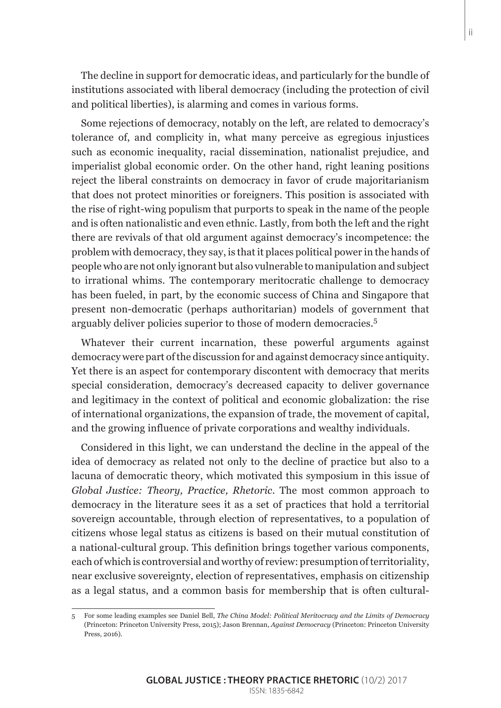The decline in support for democratic ideas, and particularly for the bundle of institutions associated with liberal democracy (including the protection of civil and political liberties), is alarming and comes in various forms.

Some rejections of democracy, notably on the left, are related to democracy's tolerance of, and complicity in, what many perceive as egregious injustices such as economic inequality, racial dissemination, nationalist prejudice, and imperialist global economic order. On the other hand, right leaning positions reject the liberal constraints on democracy in favor of crude majoritarianism that does not protect minorities or foreigners. This position is associated with the rise of right-wing populism that purports to speak in the name of the people and is often nationalistic and even ethnic. Lastly, from both the left and the right there are revivals of that old argument against democracy's incompetence: the problem with democracy, they say, is that it places political power in the hands of people who are not only ignorant but also vulnerable to manipulation and subject to irrational whims. The contemporary meritocratic challenge to democracy has been fueled, in part, by the economic success of China and Singapore that present non-democratic (perhaps authoritarian) models of government that arguably deliver policies superior to those of modern democracies.<sup>5</sup>

Whatever their current incarnation, these powerful arguments against democracy were part of the discussion for and against democracy since antiquity. Yet there is an aspect for contemporary discontent with democracy that merits special consideration, democracy's decreased capacity to deliver governance and legitimacy in the context of political and economic globalization: the rise of international organizations, the expansion of trade, the movement of capital, and the growing influence of private corporations and wealthy individuals.

Considered in this light, we can understand the decline in the appeal of the idea of democracy as related not only to the decline of practice but also to a lacuna of democratic theory, which motivated this symposium in this issue of *Global Justice: Theory, Practice, Rhetoric*. The most common approach to democracy in the literature sees it as a set of practices that hold a territorial sovereign accountable, through election of representatives, to a population of citizens whose legal status as citizens is based on their mutual constitution of a national-cultural group. This definition brings together various components, each of which is controversial and worthy of review: presumption of territoriality, near exclusive sovereignty, election of representatives, emphasis on citizenship as a legal status, and a common basis for membership that is often cultural-

<sup>5</sup> For some leading examples see Daniel Bell, *The China Model: Political Meritocracy and the Limits of Democracy* (Princeton: Princeton University Press, 2015); Jason Brennan, *Against Democracy* (Princeton: Princeton University Press, 2016).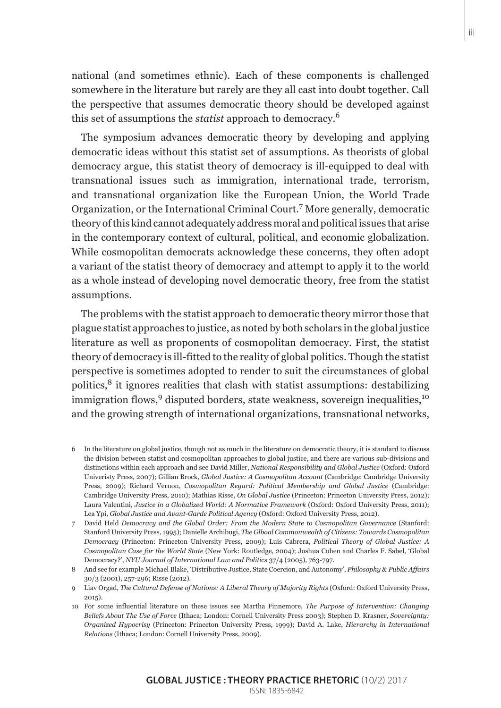national (and sometimes ethnic). Each of these components is challenged somewhere in the literature but rarely are they all cast into doubt together. Call the perspective that assumes democratic theory should be developed against this set of assumptions the *statist* approach to democracy.<sup>6</sup>

The symposium advances democratic theory by developing and applying democratic ideas without this statist set of assumptions. As theorists of global democracy argue, this statist theory of democracy is ill-equipped to deal with transnational issues such as immigration, international trade, terrorism, and transnational organization like the European Union, the World Trade Organization, or the International Criminal Court.<sup>7</sup> More generally, democratic theory of this kind cannot adequately address moral and political issues that arise in the contemporary context of cultural, political, and economic globalization. While cosmopolitan democrats acknowledge these concerns, they often adopt a variant of the statist theory of democracy and attempt to apply it to the world as a whole instead of developing novel democratic theory, free from the statist assumptions.

The problems with the statist approach to democratic theory mirror those that plague statist approaches to justice, as noted by both scholars in the global justice literature as well as proponents of cosmopolitan democracy. First, the statist theory of democracy is ill-fitted to the reality of global politics. Though the statist perspective is sometimes adopted to render to suit the circumstances of global politics,8 it ignores realities that clash with statist assumptions: destabilizing immigration flows,  $9$  disputed borders, state weakness, sovereign inequalities,  $10$ and the growing strength of international organizations, transnational networks,

<sup>6</sup> In the literature on global justice, though not as much in the literature on democratic theory, it is standard to discuss the division between statist and cosmopolitan approaches to global justice, and there are various sub-divisions and distinctions within each approach and see David Miller, *National Responsibility and Global Justice* (Oxford: Oxford Univeristy Press, 2007); Gillian Brock, *Global Justice: A Cosmopolitan Account* (Cambridge: Cambridge University Press, 2009); Richard Vernon, *Cosmopolitan Regard: Political Membership and Global Justice* (Cambridge: Cambridge University Press, 2010); Mathias Risse, *On Global Justice* (Princeton: Princeton University Press, 2012); Laura Valentini, *Justice in a Globalized World: A Normative Framework* (Oxford: Oxford University Press, 2011); Lea Ypi, *Global Justice and Avant-Garde Political Agency* (Oxford: Oxford University Press, 2012).

<sup>7</sup> David Held *Democracy and the Global Order: From the Modern State to Cosmopolitan Governance* (Stanford: Stanford University Press, 1995); Danielle Archibugi, *The Glboal Commonwealth of Citizens: Towards Cosmopolitan Democracy* (Princeton: Princeton University Press, 2009); Luis Cabrera, *Political Theory of Global Justice: A Cosmopolitan Case for the World State* (New York: Routledge, 2004); Joshua Cohen and Charles F. Sabel, 'Global Democracy?', *NYU Journal of International Law and Politics* 37/4 (2005), 763-797.

<sup>8</sup> And see for example Michael Blake, 'Distributive Justice, State Coercion, and Autonomy', *Philosophy & Public Affairs* 30/3 (2001), 257-296; Risse (2012).

<sup>9</sup> Liav Orgad, *The Cultural Defense of Nations: A Liberal Theory of Majority Rights* (Oxford: Oxford University Press,  $2015$ 

<sup>10</sup> For some influential literature on these issues see Martha Finnemore, *The Purpose of Intervention: Changing Beliefs About The Use of Force* (Ithaca; London: Cornell University Press 2003); Stephen D. Krasner, *Sovereignty: Organized Hypocrisy* (Princeton: Princeton University Press, 1999); David A. Lake, *Hierarchy in International Relations* (Ithaca; London: Cornell University Press, 2009).

**GLOBAL JUSTICE : THEORY PRACTICE RHETORIC** (10/2) 2017 ISSN: 1835-6842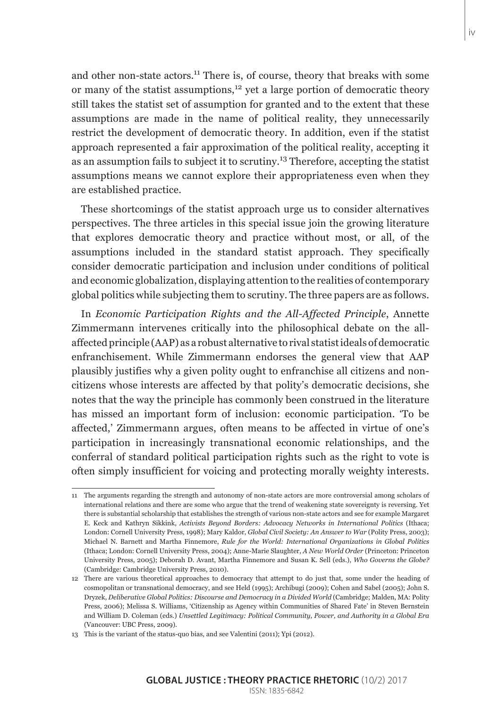and other non-state actors.<sup>11</sup> There is, of course, theory that breaks with some or many of the statist assumptions, $12$  yet a large portion of democratic theory still takes the statist set of assumption for granted and to the extent that these assumptions are made in the name of political reality, they unnecessarily restrict the development of democratic theory. In addition, even if the statist approach represented a fair approximation of the political reality, accepting it as an assumption fails to subject it to scrutiny.13 Therefore, accepting the statist assumptions means we cannot explore their appropriateness even when they are established practice.

These shortcomings of the statist approach urge us to consider alternatives perspectives. The three articles in this special issue join the growing literature that explores democratic theory and practice without most, or all, of the assumptions included in the standard statist approach. They specifically consider democratic participation and inclusion under conditions of political and economic globalization, displaying attention to the realities of contemporary global politics while subjecting them to scrutiny. The three papers are as follows.

In *Economic Participation Rights and the All-Affected Principle*, Annette Zimmermann intervenes critically into the philosophical debate on the allaffected principle (AAP) as a robust alternative to rival statist ideals of democratic enfranchisement. While Zimmermann endorses the general view that AAP plausibly justifies why a given polity ought to enfranchise all citizens and noncitizens whose interests are affected by that polity's democratic decisions, she notes that the way the principle has commonly been construed in the literature has missed an important form of inclusion: economic participation. 'To be affected,' Zimmermann argues, often means to be affected in virtue of one's participation in increasingly transnational economic relationships, and the conferral of standard political participation rights such as the right to vote is often simply insufficient for voicing and protecting morally weighty interests.

<sup>11</sup> The arguments regarding the strength and autonomy of non-state actors are more controversial among scholars of international relations and there are some who argue that the trend of weakening state sovereignty is reversing. Yet there is substantial scholarship that establishes the strength of various non-state actors and see for example Margaret E. Keck and Kathryn Sikkink, *Activists Beyond Borders: Advocacy Networks in International Politics* (Ithaca; London: Cornell University Press, 1998); Mary Kaldor, *Global Civil Society: An Answer to War* (Polity Press, 2003); Michael N. Barnett and Martha Finnemore, *Rule for the World: International Organizations in Global Politics* (Ithaca; London: Cornell University Press, 2004); Anne-Marie Slaughter, *A New World Order* (Princeton: Princeton University Press, 2005); Deborah D. Avant, Martha Finnemore and Susan K. Sell (eds.), *Who Governs the Globe?* (Cambridge: Cambridge University Press, 2010).

<sup>12</sup> There are various theoretical approaches to democracy that attempt to do just that, some under the heading of cosmopolitan or transnational democracy, and see Held (1995); Archibugi (2009); Cohen and Sabel (2005); John S. Dryzek, *Deliberative Global Politics: Discourse and Democracy in a Divided World* (Cambridge; Malden, MA: Polity Press, 2006); Melissa S. Williams, 'Citizenship as Agency within Communities of Shared Fate' in Steven Bernstein and William D. Coleman (eds.) *Unsettled Legitimacy: Political Community, Power, and Authority in a Global Era* (Vancouver: UBC Press, 2009).

<sup>13</sup> This is the variant of the status-quo bias, and see Valentini (2011); Ypi (2012).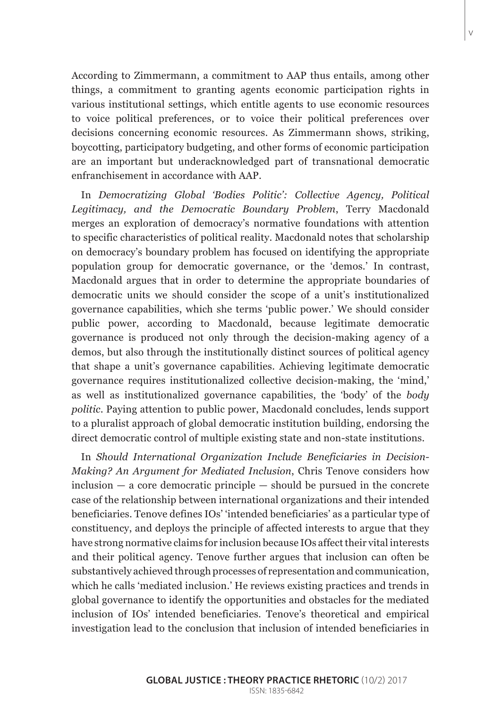According to Zimmermann, a commitment to AAP thus entails, among other things, a commitment to granting agents economic participation rights in various institutional settings, which entitle agents to use economic resources to voice political preferences, or to voice their political preferences over decisions concerning economic resources. As Zimmermann shows, striking, boycotting, participatory budgeting, and other forms of economic participation are an important but underacknowledged part of transnational democratic enfranchisement in accordance with AAP.

In *Democratizing Global 'Bodies Politic': Collective Agency, Political Legitimacy, and the Democratic Boundary Problem*, Terry Macdonald merges an exploration of democracy's normative foundations with attention to specific characteristics of political reality. Macdonald notes that scholarship on democracy's boundary problem has focused on identifying the appropriate population group for democratic governance, or the 'demos.' In contrast, Macdonald argues that in order to determine the appropriate boundaries of democratic units we should consider the scope of a unit's institutionalized governance capabilities, which she terms 'public power.' We should consider public power, according to Macdonald, because legitimate democratic governance is produced not only through the decision-making agency of a demos, but also through the institutionally distinct sources of political agency that shape a unit's governance capabilities. Achieving legitimate democratic governance requires institutionalized collective decision-making, the 'mind,' as well as institutionalized governance capabilities, the 'body' of the *body politic*. Paying attention to public power, Macdonald concludes, lends support to a pluralist approach of global democratic institution building, endorsing the direct democratic control of multiple existing state and non-state institutions.

In *Should International Organization Include Beneficiaries in Decision-Making? An Argument for Mediated Inclusion*, Chris Tenove considers how  $inclusion - a core democratic principle - should be pursued in the concrete$ case of the relationship between international organizations and their intended beneficiaries. Tenove defines IOs' 'intended beneficiaries' as a particular type of constituency, and deploys the principle of affected interests to argue that they have strong normative claims for inclusion because IOs affect their vital interests and their political agency. Tenove further argues that inclusion can often be substantively achieved through processes of representation and communication, which he calls 'mediated inclusion.' He reviews existing practices and trends in global governance to identify the opportunities and obstacles for the mediated inclusion of IOs' intended beneficiaries. Tenove's theoretical and empirical investigation lead to the conclusion that inclusion of intended beneficiaries in